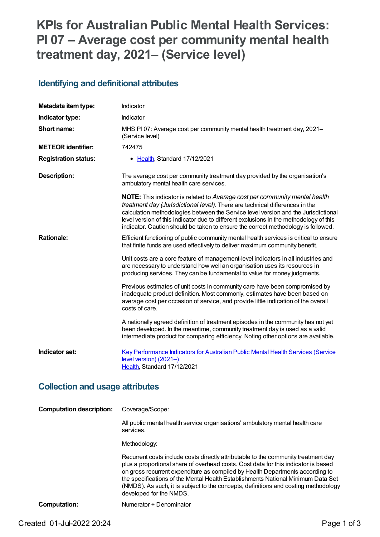# **KPIs for Australian Public Mental Health Services: PI 07 – Average cost per community mental health treatment day, 2021– (Service level)**

#### **Identifying and definitional attributes**

| Metadata item type:                    | Indicator                                                                                                                                                                                                                                                                                                                                                                                                                        |  |
|----------------------------------------|----------------------------------------------------------------------------------------------------------------------------------------------------------------------------------------------------------------------------------------------------------------------------------------------------------------------------------------------------------------------------------------------------------------------------------|--|
| Indicator type:                        | Indicator                                                                                                                                                                                                                                                                                                                                                                                                                        |  |
| Short name:                            | MHS PI07: Average cost per community mental health treatment day, 2021-<br>(Service level)                                                                                                                                                                                                                                                                                                                                       |  |
| <b>METEOR identifier:</b>              | 742475                                                                                                                                                                                                                                                                                                                                                                                                                           |  |
| <b>Registration status:</b>            | • Health, Standard 17/12/2021                                                                                                                                                                                                                                                                                                                                                                                                    |  |
| <b>Description:</b>                    | The average cost per community treatment day provided by the organisation's<br>ambulatory mental health care services.                                                                                                                                                                                                                                                                                                           |  |
|                                        | NOTE: This indicator is related to Average cost per community mental health<br>treatment day (Jurisdictional level). There are technical differences in the<br>calculation methodologies between the Service level version and the Jurisdictional<br>level version of this indicator due to different exclusions in the methodology of this<br>indicator. Caution should be taken to ensure the correct methodology is followed. |  |
| <b>Rationale:</b>                      | Efficient functioning of public community mental health services is critical to ensure<br>that finite funds are used effectively to deliver maximum community benefit.                                                                                                                                                                                                                                                           |  |
|                                        | Unit costs are a core feature of management-level indicators in all industries and<br>are necessary to understand how well an organisation uses its resources in<br>producing services. They can be fundamental to value for money judgments.                                                                                                                                                                                    |  |
|                                        | Previous estimates of unit costs in community care have been compromised by<br>inadequate product definition. Most commonly, estimates have been based on<br>average cost per occasion of service, and provide little indication of the overall<br>costs of care.                                                                                                                                                                |  |
|                                        | A nationally agreed definition of treatment episodes in the community has not yet<br>been developed. In the meantime, community treatment day is used as a valid<br>intermediate product for comparing efficiency. Noting other options are available.                                                                                                                                                                           |  |
| Indicator set:                         | <b>Key Performance Indicators for Australian Public Mental Health Services (Service</b><br>level version) (2021-)<br>Health, Standard 17/12/2021                                                                                                                                                                                                                                                                                 |  |
| <b>Collection and usage attributes</b> |                                                                                                                                                                                                                                                                                                                                                                                                                                  |  |
| <b>Computation description:</b>        | Coverage/Scope:                                                                                                                                                                                                                                                                                                                                                                                                                  |  |
|                                        | All public mental health service organisations' ambulatory mental health care<br>services                                                                                                                                                                                                                                                                                                                                        |  |

Methodology:

Recurrent costs include costs directly attributable to the community treatment day plus a proportional share of overhead costs. Cost data for this indicator is based on gross recurrent expenditure as compiled by Health Departments according to the specifications of the Mental Health Establishments National Minimum Data Set (NMDS). As such, it is subject to the concepts, definitions and costing methodology developed for the NMDS.

#### **Computation:** Numerator ÷ Denominator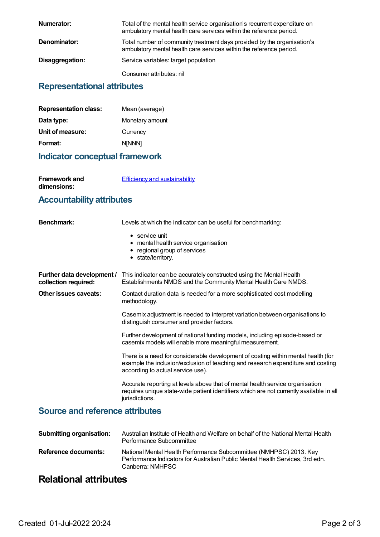| Numerator:      | Total of the mental health service organisation's recurrent expenditure on<br>ambulatory mental health care services within the reference period. |
|-----------------|---------------------------------------------------------------------------------------------------------------------------------------------------|
| Denominator:    | Total number of community treatment days provided by the organisation's<br>ambulatory mental health care services within the reference period.    |
| Disaggregation: | Service variables: target population                                                                                                              |
|                 | Consumer attributes: nil                                                                                                                          |

#### **Representational attributes**

| Mean (average)  |
|-----------------|
| Monetary amount |
| Currency        |
| <b>NINNN1</b>   |
|                 |

#### **Indicator conceptual framework**

**Framework and dimensions:**

**Efficiency and [sustainability](https://meteor.aihw.gov.au/content/721208)** 

### **Accountability attributes**

| <b>Benchmark:</b>                                  | Levels at which the indicator can be useful for benchmarking:                                                                                                                                              |
|----------------------------------------------------|------------------------------------------------------------------------------------------------------------------------------------------------------------------------------------------------------------|
|                                                    | $\bullet$ service unit<br>• mental health service organisation<br>• regional group of services<br>• state/territory.                                                                                       |
| Further data development /<br>collection required: | This indicator can be accurately constructed using the Mental Health<br>Establishments NMDS and the Community Mental Health Care NMDS.                                                                     |
| Other issues caveats:                              | Contact duration data is needed for a more sophisticated cost modelling<br>methodology.                                                                                                                    |
|                                                    | Casemix adjustment is needed to interpret variation between organisations to<br>distinguish consumer and provider factors.                                                                                 |
|                                                    | Further development of national funding models, including episode-based or<br>casemix models will enable more meaningful measurement.                                                                      |
|                                                    | There is a need for considerable development of costing within mental health (for<br>example the inclusion/exclusion of teaching and research expenditure and costing<br>according to actual service use). |
|                                                    | Accurate reporting at levels above that of mental health service organisation<br>requires unique state-wide patient identifiers which are not currently available in all<br>jurisdictions.                 |

### **Source and reference attributes**

| <b>Submitting organisation:</b> | Australian Institute of Health and Welfare on behalf of the National Mental Health<br>Performance Subcommittee                                                          |
|---------------------------------|-------------------------------------------------------------------------------------------------------------------------------------------------------------------------|
| Reference documents:            | National Mental Health Performance Subcommittee (NMHPSC) 2013. Key<br>Performance Indicators for Australian Public Mental Health Services, 3rd edn.<br>Canberra: NMHPSC |

## **Relational attributes**